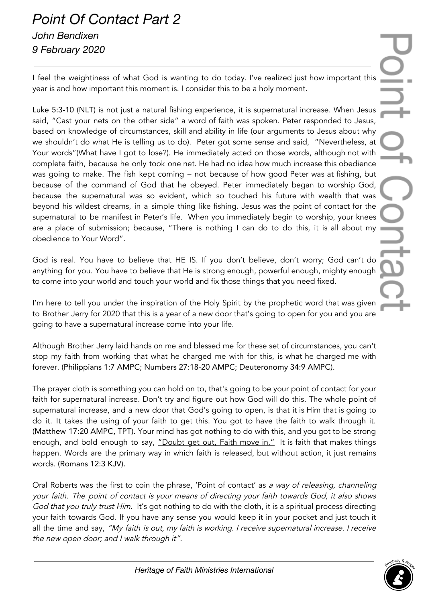## *Point Of Contact Part 2 John Bendixen 9 February 2020*

I feel the weightiness of what God is wanting to do today. I've realized just how important this year is and how important this moment is. I consider this to be a holy moment.

Luke 5:3-10 (NLT) is not just a natural fishing experience, it is supernatural increase. When Jesus said, "Cast your nets on the other side" a word of faith was spoken. Peter responded to Jesus, based on knowledge of circumstances, skill and ability in life (our arguments to Jesus about why we shouldn't do what He is telling us to do). Peter got some sense and said, "Nevertheless, at Your words"(What have I got to lose?). He immediately acted on those words, although not with complete faith, because he only took one net. He had no idea how much increase this obedience was going to make. The fish kept coming – not because of how good Peter was at fishing, but because of the command of God that he obeyed. Peter immediately began to worship God, because the supernatural was so evident, which so touched his future with wealth that was beyond his wildest dreams, in a simple thing like fishing. Jesus was the point of contact for the supernatural to be manifest in Peter's life. When you immediately begin to worship, your knees are a place of submission; because, "There is nothing I can do to do this, it is all about my obedience to Your Word".

God is real. You have to believe that HE IS. If you don't believe, don't worry; God can't do anything for you. You have to believe that He is strong enough, powerful enough, mighty enough to come into your world and touch your world and fix those things that you need fixed.

I'm here to tell you under the inspiration of the Holy Spirit by the prophetic word that was given to Brother Jerry for 2020 that this is a year of a new door that's going to open for you and you are going to have a supernatural increase come into your life.

Although Brother Jerry laid hands on me and blessed me for these set of circumstances, you can't stop my faith from working that what he charged me with for this, is what he charged me with forever. (Philippians 1:7 AMPC; Numbers 27:18-20 AMPC; Deuteronomy 34:9 AMPC).

The prayer cloth is something you can hold on to, that's going to be your point of contact for your faith for supernatural increase. Don't try and figure out how God will do this. The whole point of supernatural increase, and a new door that God's going to open, is that it is Him that is going to do it. It takes the using of your faith to get this. You got to have the faith to walk through it. (Matthew 17:20 AMPC, TPT). Your mind has got nothing to do with this, and you got to be strong enough, and bold enough to say, "Doubt get out, Faith move in." It is faith that makes things happen. Words are the primary way in which faith is released, but without action, it just remains words. (Romans 12:3 KJV).

Oral Roberts was the first to coin the phrase, 'Point of contact' as <sup>a</sup> way of releasing, channeling your faith. The point of contact is your means of directing your faith towards God, it also shows God that you truly trust Him. It's got nothing to do with the cloth, it is a spiritual process directing your faith towards God. If you have any sense you would keep it in your pocket and just touch it all the time and say, "My faith is out, my faith is working. I receive supernatural increase. I receive the new open door; and <sup>I</sup> walk through it".